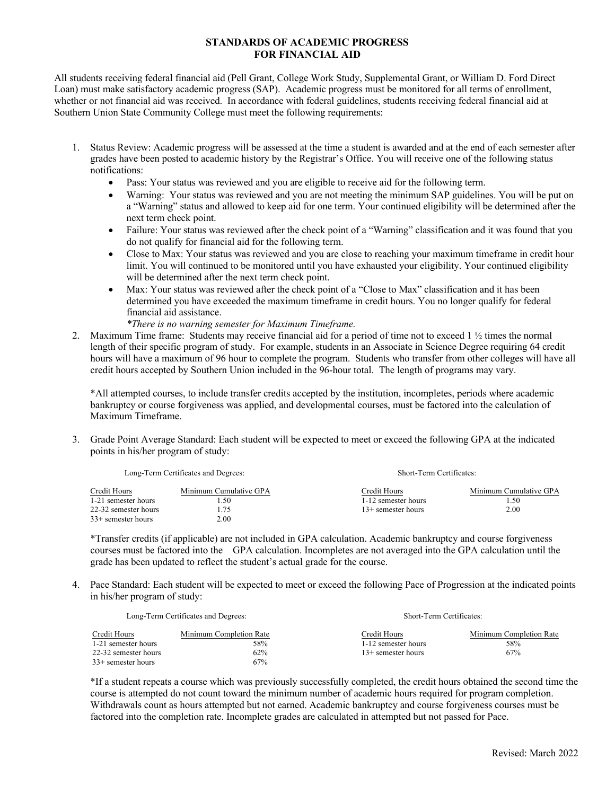## **STANDARDS OF ACADEMIC PROGRESS FOR FINANCIAL AID**

All students receiving federal financial aid (Pell Grant, College Work Study, Supplemental Grant, or William D. Ford Direct Loan) must make satisfactory academic progress (SAP). Academic progress must be monitored for all terms of enrollment, whether or not financial aid was received. In accordance with federal guidelines, students receiving federal financial aid at Southern Union State Community College must meet the following requirements:

- 1. Status Review: Academic progress will be assessed at the time a student is awarded and at the end of each semester after grades have been posted to academic history by the Registrar's Office. You will receive one of the following status notifications:
	- Pass: Your status was reviewed and you are eligible to receive aid for the following term.
	- Warning: Your status was reviewed and you are not meeting the minimum SAP guidelines. You will be put on a "Warning" status and allowed to keep aid for one term. Your continued eligibility will be determined after the next term check point.
	- Failure: Your status was reviewed after the check point of a "Warning" classification and it was found that you do not qualify for financial aid for the following term.
	- Close to Max: Your status was reviewed and you are close to reaching your maximum timeframe in credit hour limit. You will continued to be monitored until you have exhausted your eligibility. Your continued eligibility will be determined after the next term check point.
	- Max: Your status was reviewed after the check point of a "Close to Max" classification and it has been determined you have exceeded the maximum timeframe in credit hours. You no longer qualify for federal financial aid assistance.

*\*There is no warning semester for Maximum Timeframe.*

2. Maximum Time frame: Students may receive financial aid for a period of time not to exceed 1 ½ times the normal length of their specific program of study. For example, students in an Associate in Science Degree requiring 64 credit hours will have a maximum of 96 hour to complete the program. Students who transfer from other colleges will have all credit hours accepted by Southern Union included in the 96-hour total. The length of programs may vary.

\*All attempted courses, to include transfer credits accepted by the institution, incompletes, periods where academic bankruptcy or course forgiveness was applied, and developmental courses, must be factored into the calculation of Maximum Timeframe.

3. Grade Point Average Standard: Each student will be expected to meet or exceed the following GPA at the indicated points in his/her program of study:

| Long-Term Certificates and Degrees: |                        | Short-Term Certificates: |                        |
|-------------------------------------|------------------------|--------------------------|------------------------|
| Credit Hours                        | Minimum Cumulative GPA | Credit Hours             | Minimum Cumulative GPA |
| 1-21 semester hours                 | .50                    | 1-12 semester hours      | . . 50                 |
| 22-32 semester hours                | .75                    | $13+$ semester hours     | 2.00                   |
| $33+$ semester hours                | 2.00                   |                          |                        |

\*Transfer credits (if applicable) are not included in GPA calculation. Academic bankruptcy and course forgiveness courses must be factored into the GPA calculation. Incompletes are not averaged into the GPA calculation until the grade has been updated to reflect the student's actual grade for the course.

4. Pace Standard: Each student will be expected to meet or exceed the following Pace of Progression at the indicated points in his/her program of study:

| Long-Term Certificates and Degrees: |                         | Short-Term Certificates: |                         |
|-------------------------------------|-------------------------|--------------------------|-------------------------|
| Credit Hours                        | Minimum Completion Rate | Credit Hours             | Minimum Completion Rate |
| 1-21 semester hours                 | 58%                     | 1-12 semester hours      | 58%                     |
| 22-32 semester hours                | 62%                     | $13+$ semester hours     | 67%                     |
| $33+$ semester hours                | 67%                     |                          |                         |

\*If a student repeats a course which was previously successfully completed, the credit hours obtained the second time the course is attempted do not count toward the minimum number of academic hours required for program completion. Withdrawals count as hours attempted but not earned. Academic bankruptcy and course forgiveness courses must be factored into the completion rate. Incomplete grades are calculated in attempted but not passed for Pace.